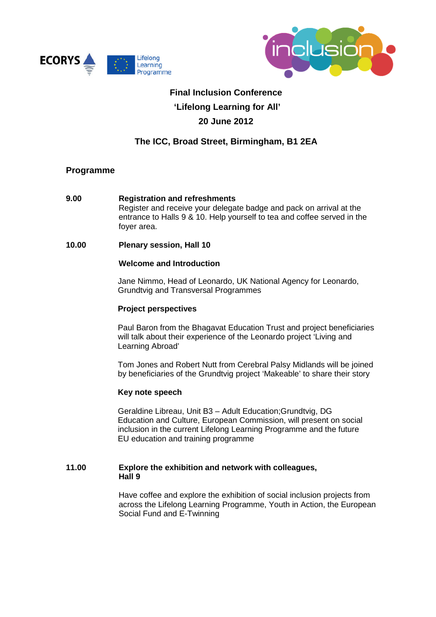



# **Final Inclusion Conference 'Lifelong Learning for All' 20 June 2012**

# **The ICC, Broad Street, Birmingham, B1 2EA**

# **Programme**

**9.00 Registration and refreshments** Register and receive your delegate badge and pack on arrival at the entrance to Halls 9 & 10. Help yourself to tea and coffee served in the foyer area.

# **10.00 Plenary session, Hall 10**

## **Welcome and Introduction**

Jane Nimmo, Head of Leonardo, UK National Agency for Leonardo, Grundtvig and Transversal Programmes

#### **Project perspectives**

Paul Baron from the Bhagavat Education Trust and project beneficiaries will talk about their experience of the Leonardo project 'Living and Learning Abroad'

Tom Jones and Robert Nutt from Cerebral Palsy Midlands will be joined by beneficiaries of the Grundtvig project 'Makeable' to share their story

#### **Key note speech**

Geraldine Libreau, Unit B3 – Adult Education;Grundtvig, DG Education and Culture, European Commission, will present on social inclusion in the current Lifelong Learning Programme and the future EU education and training programme

## **11.00 Explore the exhibition and network with colleagues, Hall 9**

Have coffee and explore the exhibition of social inclusion projects from across the Lifelong Learning Programme, Youth in Action, the European Social Fund and E-Twinning